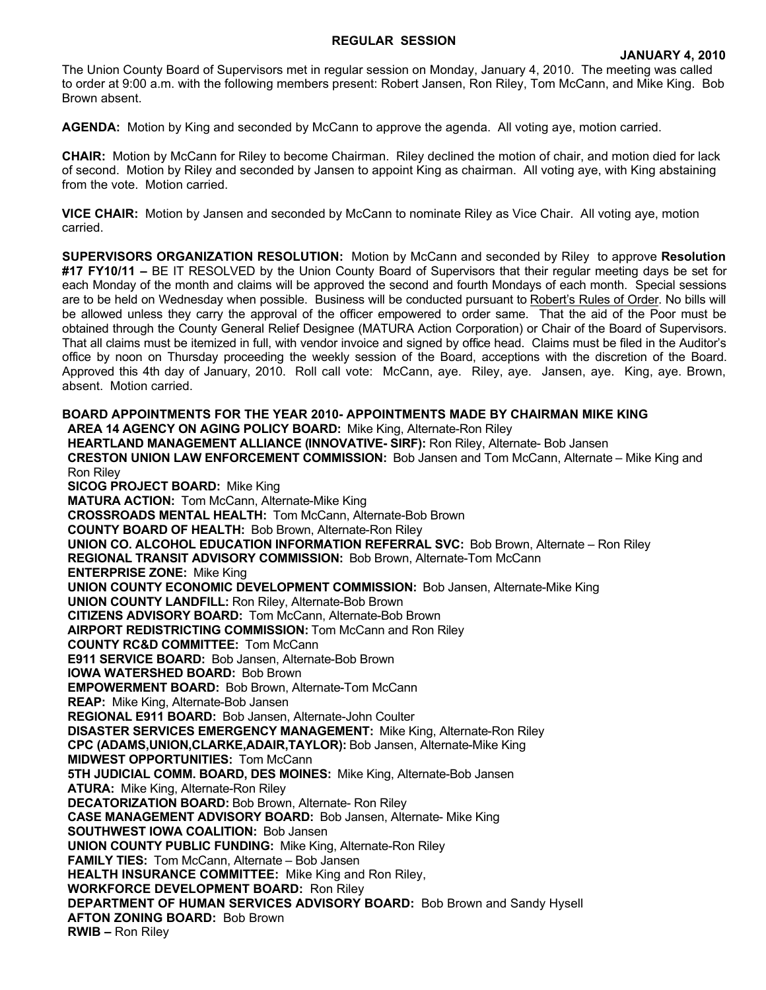### **REGULAR SESSION**

The Union County Board of Supervisors met in regular session on Monday, January 4, 2010. The meeting was called to order at 9:00 a.m. with the following members present: Robert Jansen, Ron Riley, Tom McCann, and Mike King. Bob Brown absent.

**AGENDA:** Motion by King and seconded by McCann to approve the agenda. All voting aye, motion carried.

**CHAIR:** Motion by McCann for Riley to become Chairman. Riley declined the motion of chair, and motion died for lack of second. Motion by Riley and seconded by Jansen to appoint King as chairman. All voting aye, with King abstaining from the vote. Motion carried.

**VICE CHAIR:** Motion by Jansen and seconded by McCann to nominate Riley as Vice Chair. All voting aye, motion carried.

**SUPERVISORS ORGANIZATION RESOLUTION:** Motion by McCann and seconded by Riley to approve **Resolution #17 FY10/11 –** BE IT RESOLVED by the Union County Board of Supervisors that their regular meeting days be set for each Monday of the month and claims will be approved the second and fourth Mondays of each month. Special sessions are to be held on Wednesday when possible. Business will be conducted pursuant to Robert's Rules of Order. No bills will be allowed unless they carry the approval of the officer empowered to order same. That the aid of the Poor must be obtained through the County General Relief Designee (MATURA Action Corporation) or Chair of the Board of Supervisors. That all claims must be itemized in full, with vendor invoice and signed by office head. Claims must be filed in the Auditor's office by noon on Thursday proceeding the weekly session of the Board, acceptions with the discretion of the Board. Approved this 4th day of January, 2010. Roll call vote: McCann, aye. Riley, aye. Jansen, aye. King, aye. Brown, absent. Motion carried.

**BOARD APPOINTMENTS FOR THE YEAR 2010- APPOINTMENTS MADE BY CHAIRMAN MIKE KING AREA 14 AGENCY ON AGING POLICY BOARD:** Mike King, Alternate-Ron Riley **HEARTLAND MANAGEMENT ALLIANCE (INNOVATIVE- SIRF):** Ron Riley, Alternate- Bob Jansen **CRESTON UNION LAW ENFORCEMENT COMMISSION:** Bob Jansen and Tom McCann, Alternate – Mike King and Ron Riley **SICOG PROJECT BOARD:** Mike King **MATURA ACTION:** Tom McCann, Alternate-Mike King **CROSSROADS MENTAL HEALTH:** Tom McCann, Alternate-Bob Brown **COUNTY BOARD OF HEALTH:** Bob Brown, Alternate-Ron Riley **UNION CO. ALCOHOL EDUCATION INFORMATION REFERRAL SVC:** Bob Brown, Alternate – Ron Riley **REGIONAL TRANSIT ADVISORY COMMISSION:** Bob Brown, Alternate-Tom McCann **ENTERPRISE ZONE:** Mike King **UNION COUNTY ECONOMIC DEVELOPMENT COMMISSION:** Bob Jansen, Alternate-Mike King **UNION COUNTY LANDFILL:** Ron Riley, Alternate-Bob Brown **CITIZENS ADVISORY BOARD:** Tom McCann, Alternate-Bob Brown **AIRPORT REDISTRICTING COMMISSION:** Tom McCann and Ron Riley **COUNTY RC&D COMMITTEE:** Tom McCann **E911 SERVICE BOARD:** Bob Jansen, Alternate-Bob Brown **IOWA WATERSHED BOARD:** Bob Brown **EMPOWERMENT BOARD:** Bob Brown, Alternate-Tom McCann **REAP:** Mike King, Alternate-Bob Jansen **REGIONAL E911 BOARD:** Bob Jansen, Alternate-John Coulter **DISASTER SERVICES EMERGENCY MANAGEMENT:** Mike King, Alternate-Ron Riley **CPC (ADAMS,UNION,CLARKE,ADAIR,TAYLOR):** Bob Jansen, Alternate-Mike King **MIDWEST OPPORTUNITIES: Tom McCann 5TH JUDICIAL COMM. BOARD, DES MOINES:** Mike King, Alternate-Bob Jansen **ATURA:** Mike King, Alternate-Ron Riley **DECATORIZATION BOARD:** Bob Brown, Alternate- Ron Riley **CASE MANAGEMENT ADVISORY BOARD:** Bob Jansen, Alternate- Mike King **SOUTHWEST IOWA COALITION:** Bob Jansen **UNION COUNTY PUBLIC FUNDING:** Mike King, Alternate-Ron Riley **FAMILY TIES:** Tom McCann, Alternate – Bob Jansen **HEALTH INSURANCE COMMITTEE:** Mike King and Ron Riley, **WORKFORCE DEVELOPMENT BOARD:** Ron Riley **DEPARTMENT OF HUMAN SERVICES ADVISORY BOARD:** Bob Brown and Sandy Hysell **AFTON ZONING BOARD:** Bob Brown **RWIB –** Ron Riley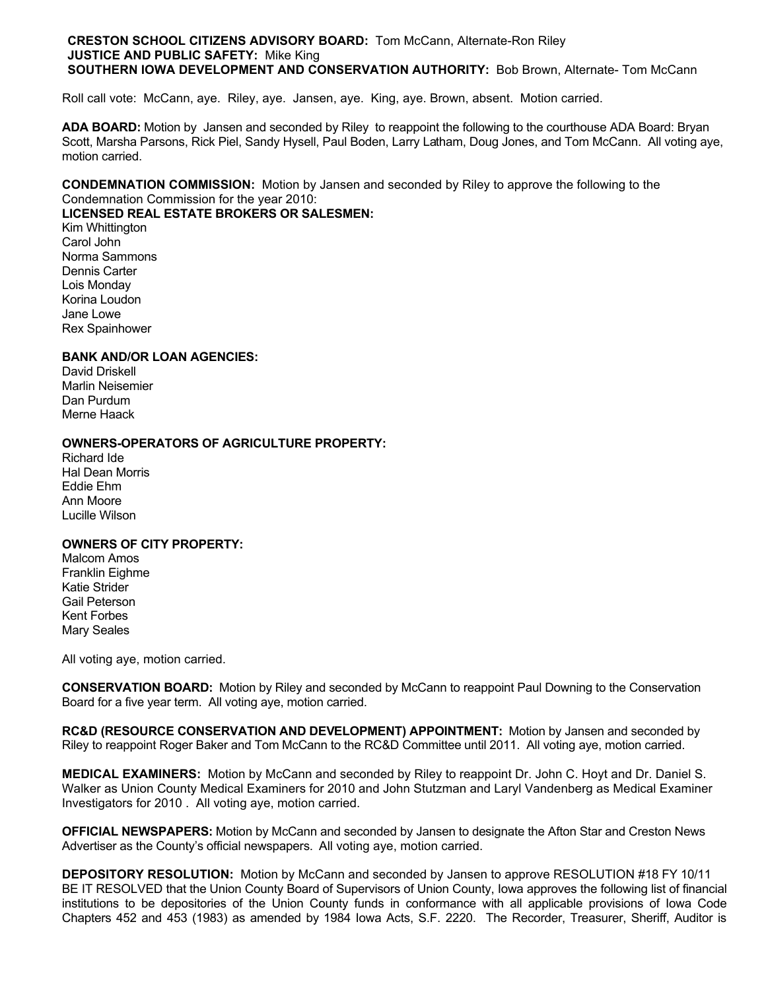#### **CRESTON SCHOOL CITIZENS ADVISORY BOARD:** Tom McCann, Alternate-Ron Riley **JUSTICE AND PUBLIC SAFETY:** Mike King **SOUTHERN IOWA DEVELOPMENT AND CONSERVATION AUTHORITY: Bob Brown, Alternate- Tom McCann**

Roll call vote: McCann, aye. Riley, aye. Jansen, aye. King, aye. Brown, absent. Motion carried.

**ADA BOARD:** Motion by Jansen and seconded by Riley to reappoint the following to the courthouse ADA Board: Bryan Scott, Marsha Parsons, Rick Piel, Sandy Hysell, Paul Boden, Larry Latham, Doug Jones, and Tom McCann. All voting aye, motion carried.

**CONDEMNATION COMMISSION:** Motion by Jansen and seconded by Riley to approve the following to the Condemnation Commission for the year 2010:

# **LICENSED REAL ESTATE BROKERS OR SALESMEN:**

Kim Whittington Carol John Norma Sammons Dennis Carter Lois Monday Korina Loudon Jane Lowe Rex Spainhower

### **BANK AND/OR LOAN AGENCIES:**

David Driskell Marlin Neisemier Dan Purdum Merne Haack

### **OWNERS-OPERATORS OF AGRICULTURE PROPERTY:**

Richard Ide Hal Dean Morris Eddie Ehm Ann Moore Lucille Wilson

# **OWNERS OF CITY PROPERTY:**

Malcom Amos Franklin Eighme Katie Strider Gail Peterson Kent Forbes Mary Seales

All voting aye, motion carried.

**CONSERVATION BOARD:** Motion by Riley and seconded by McCann to reappoint Paul Downing to the Conservation Board for a five year term. All voting aye, motion carried.

**RC&D (RESOURCE CONSERVATION AND DEVELOPMENT) APPOINTMENT:** Motion by Jansen and seconded by Riley to reappoint Roger Baker and Tom McCann to the RC&D Committee until 2011. All voting aye, motion carried.

**MEDICAL EXAMINERS:** Motion by McCann and seconded by Riley to reappoint Dr. John C. Hoyt and Dr. Daniel S. Walker as Union County Medical Examiners for 2010 and John Stutzman and Laryl Vandenberg as Medical Examiner Investigators for 2010 . All voting aye, motion carried.

**OFFICIAL NEWSPAPERS:** Motion by McCann and seconded by Jansen to designate the Afton Star and Creston News Advertiser as the County's official newspapers. All voting aye, motion carried.

**DEPOSITORY RESOLUTION:** Motion by McCann and seconded by Jansen to approve RESOLUTION #18 FY 10/11 BE IT RESOLVED that the Union County Board of Supervisors of Union County, Iowa approves the following list of financial institutions to be depositories of the Union County funds in conformance with all applicable provisions of Iowa Code Chapters 452 and 453 (1983) as amended by 1984 Iowa Acts, S.F. 2220. The Recorder, Treasurer, Sheriff, Auditor is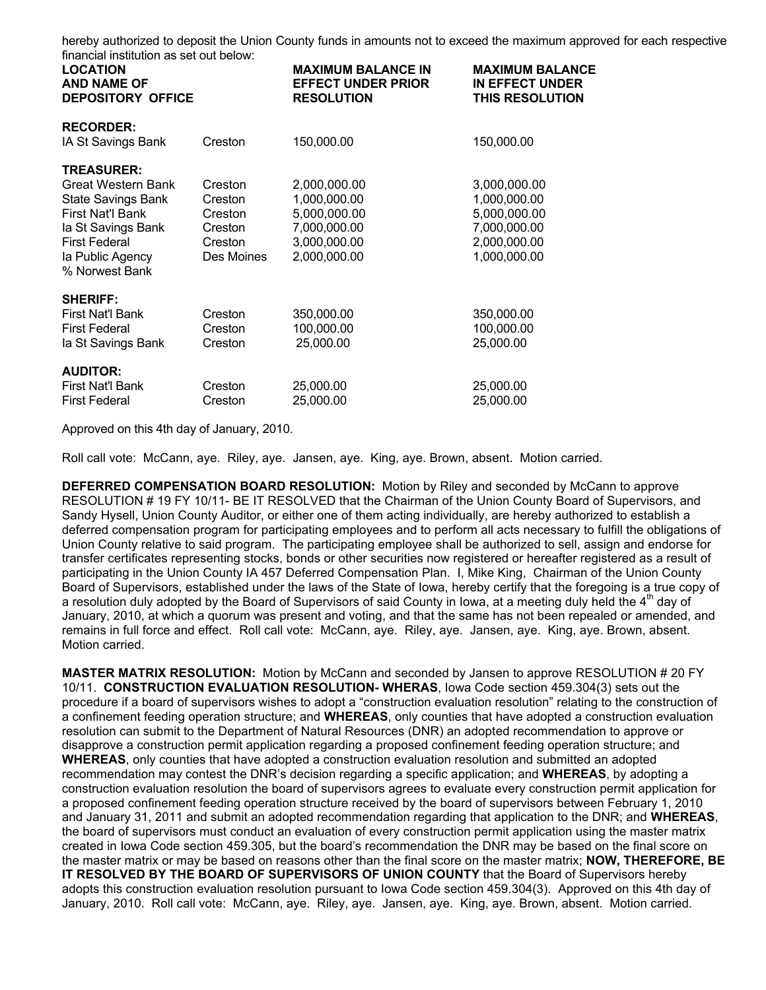hereby authorized to deposit the Union County funds in amounts not to exceed the maximum approved for each respective financial institution as set out below:

| ililah dan mengunjukan dan belas secara belas dan belas<br><b>LOCATION</b><br><b>AND NAME OF</b><br><b>DEPOSITORY OFFICE</b>                                                        |                                                                   | <b>MAXIMUM BALANCE IN</b><br><b>EFFECT UNDER PRIOR</b><br><b>RESOLUTION</b>                  | <b>MAXIMUM BALANCE</b><br><b>IN EFFECT UNDER</b><br><b>THIS RESOLUTION</b>                   |
|-------------------------------------------------------------------------------------------------------------------------------------------------------------------------------------|-------------------------------------------------------------------|----------------------------------------------------------------------------------------------|----------------------------------------------------------------------------------------------|
| <b>RECORDER:</b><br>IA St Savings Bank                                                                                                                                              | Creston                                                           | 150,000.00                                                                                   | 150,000.00                                                                                   |
| <b>TREASURER:</b><br>Great Western Bank<br><b>State Savings Bank</b><br><b>First Nat'l Bank</b><br>la St Savings Bank<br><b>First Federal</b><br>la Public Agency<br>% Norwest Bank | Creston<br>Creston<br>Creston<br>Creston<br>Creston<br>Des Moines | 2,000,000.00<br>1,000,000.00<br>5,000,000.00<br>7,000,000.00<br>3,000,000.00<br>2,000,000.00 | 3,000,000.00<br>1,000,000.00<br>5,000,000.00<br>7,000,000.00<br>2,000,000.00<br>1,000,000.00 |
| <b>SHERIFF:</b><br>First Nat'l Bank<br><b>First Federal</b><br>la St Savings Bank                                                                                                   | Creston<br>Creston<br>Creston                                     | 350,000.00<br>100,000.00<br>25,000.00                                                        | 350,000.00<br>100,000.00<br>25,000.00                                                        |
| <b>AUDITOR:</b><br>First Nat'l Bank<br><b>First Federal</b>                                                                                                                         | Creston<br>Creston                                                | 25,000.00<br>25,000.00                                                                       | 25,000.00<br>25,000.00                                                                       |

Approved on this 4th day of January, 2010.

Roll call vote: McCann, aye. Riley, aye. Jansen, aye. King, aye. Brown, absent. Motion carried.

**DEFERRED COMPENSATION BOARD RESOLUTION:** Motion by Riley and seconded by McCann to approve RESOLUTION # 19 FY 10/11- BE IT RESOLVED that the Chairman of the Union County Board of Supervisors, and Sandy Hysell, Union County Auditor, or either one of them acting individually, are hereby authorized to establish a deferred compensation program for participating employees and to perform all acts necessary to fulfill the obligations of Union County relative to said program. The participating employee shall be authorized to sell, assign and endorse for transfer certificates representing stocks, bonds or other securities now registered or hereafter registered as a result of participating in the Union County IA 457 Deferred Compensation Plan. I, Mike King, Chairman of the Union County Board of Supervisors, established under the laws of the State of Iowa, hereby certify that the foregoing is a true copy of a resolution duly adopted by the Board of Supervisors of said County in Iowa, at a meeting duly held the 4<sup>th</sup> day of January, 2010, at which a quorum was present and voting, and that the same has not been repealed or amended, and remains in full force and effect. Roll call vote: McCann, aye. Riley, aye. Jansen, aye. King, aye. Brown, absent. Motion carried.

**MASTER MATRIX RESOLUTION:** Motion by McCann and seconded by Jansen to approve RESOLUTION # 20 FY 10/11. **CONSTRUCTION EVALUATION RESOLUTION- WHERAS**, Iowa Code section 459.304(3) sets out the procedure if a board of supervisors wishes to adopt a "construction evaluation resolution" relating to the construction of a confinement feeding operation structure; and **WHEREAS**, only counties that have adopted a construction evaluation resolution can submit to the Department of Natural Resources (DNR) an adopted recommendation to approve or disapprove a construction permit application regarding a proposed confinement feeding operation structure; and **WHEREAS**, only counties that have adopted a construction evaluation resolution and submitted an adopted recommendation may contest the DNR's decision regarding a specific application; and **WHEREAS**, by adopting a construction evaluation resolution the board of supervisors agrees to evaluate every construction permit application for a proposed confinement feeding operation structure received by the board of supervisors between February 1, 2010 and January 31, 2011 and submit an adopted recommendation regarding that application to the DNR; and **WHEREAS**, the board of supervisors must conduct an evaluation of every construction permit application using the master matrix created in Iowa Code section 459.305, but the board's recommendation the DNR may be based on the final score on the master matrix or may be based on reasons other than the final score on the master matrix; **NOW, THEREFORE, BE IT RESOLVED BY THE BOARD OF SUPERVISORS OF UNION COUNTY** that the Board of Supervisors hereby adopts this construction evaluation resolution pursuant to Iowa Code section 459.304(3). Approved on this 4th day of January, 2010. Roll call vote: McCann, aye. Riley, aye. Jansen, aye. King, aye. Brown, absent. Motion carried.